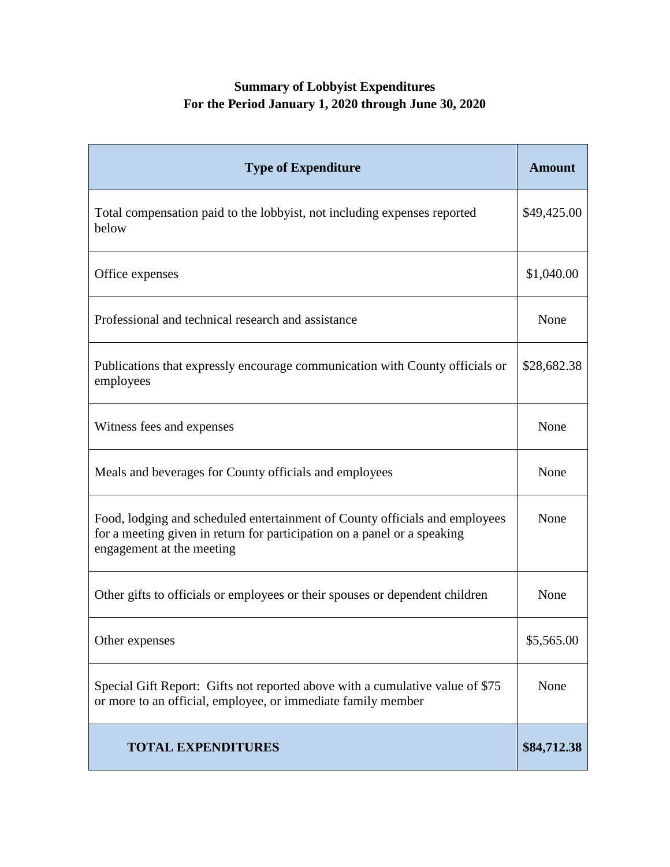## **Summary of Lobbyist Expenditures For the Period January 1, 2020 through June 30, 2020**

| <b>Type of Expenditure</b>                                                                                                                                                           | <b>Amount</b> |
|--------------------------------------------------------------------------------------------------------------------------------------------------------------------------------------|---------------|
| Total compensation paid to the lobbyist, not including expenses reported<br>below                                                                                                    | \$49,425.00   |
| Office expenses                                                                                                                                                                      | \$1,040.00    |
| Professional and technical research and assistance                                                                                                                                   | None          |
| Publications that expressly encourage communication with County officials or<br>employees                                                                                            | \$28,682.38   |
| Witness fees and expenses                                                                                                                                                            | None          |
| Meals and beverages for County officials and employees                                                                                                                               | None          |
| Food, lodging and scheduled entertainment of County officials and employees<br>for a meeting given in return for participation on a panel or a speaking<br>engagement at the meeting | None          |
| Other gifts to officials or employees or their spouses or dependent children                                                                                                         | None          |
| Other expenses                                                                                                                                                                       | \$5,565.00    |
| Special Gift Report: Gifts not reported above with a cumulative value of \$75<br>or more to an official, employee, or immediate family member                                        | None          |
| <b>TOTAL EXPENDITURES</b>                                                                                                                                                            | \$84,712.38   |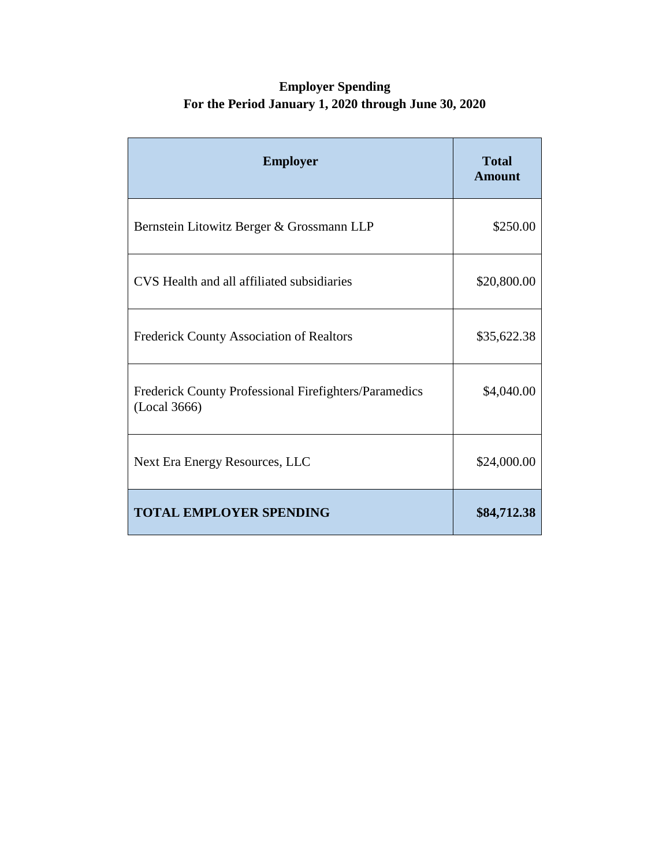## **Employer Spending For the Period January 1, 2020 through June 30, 2020**

| <b>Employer</b>                                                       | <b>Total</b><br><b>Amount</b> |
|-----------------------------------------------------------------------|-------------------------------|
| Bernstein Litowitz Berger & Grossmann LLP                             | \$250.00                      |
| CVS Health and all affiliated subsidiaries                            | \$20,800.00                   |
| Frederick County Association of Realtors                              | \$35,622.38                   |
| Frederick County Professional Firefighters/Paramedics<br>(Local 3666) | \$4,040.00                    |
| Next Era Energy Resources, LLC                                        | \$24,000.00                   |
| <b>TOTAL EMPLOYER SPENDING</b>                                        | \$84,712.38                   |